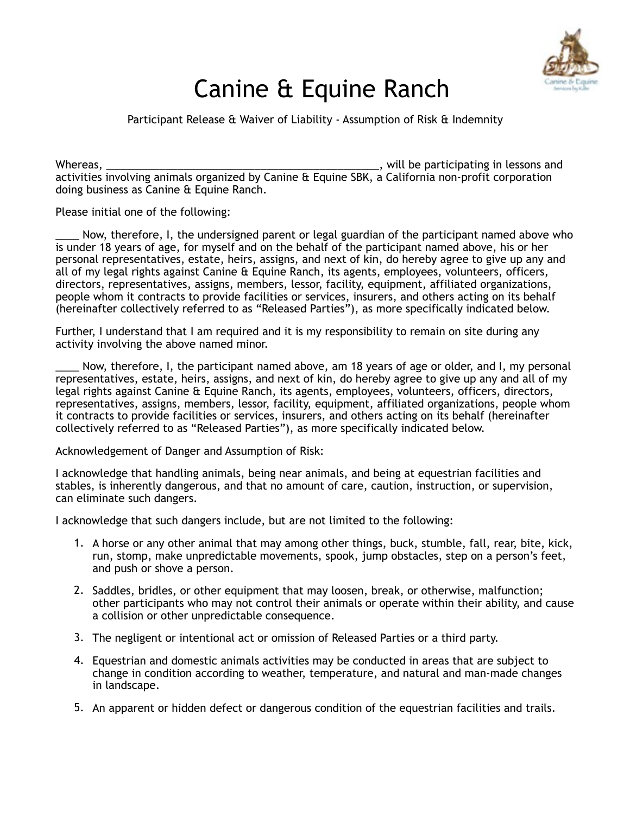

## Canine & Equine Ranch

Participant Release & Waiver of Liability - Assumption of Risk & Indemnity

Whereas, \_\_\_\_\_\_\_\_\_\_\_\_\_\_\_\_\_\_\_\_\_\_\_\_\_\_\_\_\_\_\_\_\_\_\_\_\_\_\_\_\_\_\_\_\_\_, will be participating in lessons and activities involving animals organized by Canine & Equine SBK, a California non-profit corporation doing business as Canine & Equine Ranch.

## Please initial one of the following:

Now, therefore, I, the undersigned parent or legal guardian of the participant named above who is under 18 years of age, for myself and on the behalf of the participant named above, his or her personal representatives, estate, heirs, assigns, and next of kin, do hereby agree to give up any and all of my legal rights against Canine & Equine Ranch, its agents, employees, volunteers, officers, directors, representatives, assigns, members, lessor, facility, equipment, affiliated organizations, people whom it contracts to provide facilities or services, insurers, and others acting on its behalf (hereinafter collectively referred to as "Released Parties"), as more specifically indicated below.

Further, I understand that I am required and it is my responsibility to remain on site during any activity involving the above named minor.

Now, therefore, I, the participant named above, am 18 years of age or older, and I, my personal representatives, estate, heirs, assigns, and next of kin, do hereby agree to give up any and all of my legal rights against Canine & Equine Ranch, its agents, employees, volunteers, officers, directors, representatives, assigns, members, lessor, facility, equipment, affiliated organizations, people whom it contracts to provide facilities or services, insurers, and others acting on its behalf (hereinafter collectively referred to as "Released Parties"), as more specifically indicated below.

Acknowledgement of Danger and Assumption of Risk:

I acknowledge that handling animals, being near animals, and being at equestrian facilities and stables, is inherently dangerous, and that no amount of care, caution, instruction, or supervision, can eliminate such dangers.

I acknowledge that such dangers include, but are not limited to the following:

- 1. A horse or any other animal that may among other things, buck, stumble, fall, rear, bite, kick, run, stomp, make unpredictable movements, spook, jump obstacles, step on a person's feet, and push or shove a person.
- 2. Saddles, bridles, or other equipment that may loosen, break, or otherwise, malfunction; other participants who may not control their animals or operate within their ability, and cause a collision or other unpredictable consequence.
- 3. The negligent or intentional act or omission of Released Parties or a third party.
- 4. Equestrian and domestic animals activities may be conducted in areas that are subject to change in condition according to weather, temperature, and natural and man-made changes in landscape.
- 5. An apparent or hidden defect or dangerous condition of the equestrian facilities and trails.